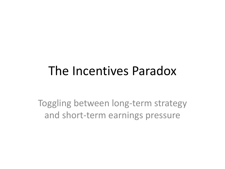### The Incentives Paradox

Toggling between long-term strategy and short-term earnings pressure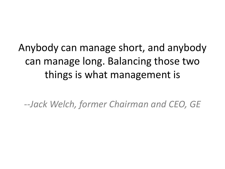### Anybody can manage short, and anybody can manage long. Balancing those two things is what management is

*--Jack Welch, former Chairman and CEO, GE*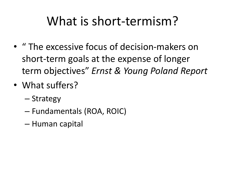### What is short-termism?

- " The excessive focus of decision-makers on short-term goals at the expense of longer term objectives" *Ernst & Young Poland Report*
- What suffers?
	- Strategy
	- Fundamentals (ROA, ROIC)
	- Human capital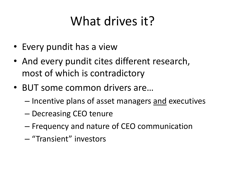# What drives it?

- Every pundit has a view
- And every pundit cites different research, most of which is contradictory
- BUT some common drivers are…
	- Incentive plans of asset managers and executives
	- Decreasing CEO tenure
	- Frequency and nature of CEO communication
	- "Transient" investors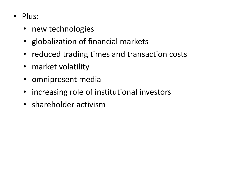- Plus:
	- new technologies
	- globalization of financial markets
	- reduced trading times and transaction costs
	- market volatility
	- omnipresent media
	- increasing role of institutional investors
	- shareholder activism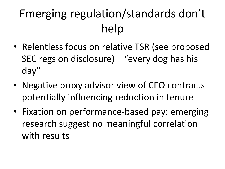# Emerging regulation/standards don't help

- Relentless focus on relative TSR (see proposed SEC regs on disclosure) – "every dog has his day"
- Negative proxy advisor view of CEO contracts potentially influencing reduction in tenure
- Fixation on performance-based pay: emerging research suggest no meaningful correlation with results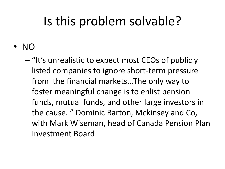## Is this problem solvable?

• NO

– "It's unrealistic to expect most CEOs of publicly listed companies to ignore short-term pressure from the financial markets...The only way to foster meaningful change is to enlist pension funds, mutual funds, and other large investors in the cause. " Dominic Barton, Mckinsey and Co, with Mark Wiseman, head of Canada Pension Plan Investment Board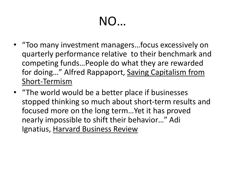# NO…

- "Too many investment managers…focus excessively on quarterly performance relative to their benchmark and competing funds…People do what they are rewarded for doing…" Alfred Rappaport, Saving Capitalism from Short-Termism
- "The world would be a better place if businesses stopped thinking so much about short-term results and focused more on the long term…Yet it has proved nearly impossible to shift their behavior…" Adi Ignatius, Harvard Business Review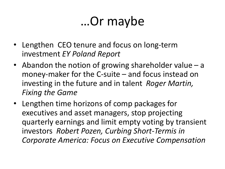## …Or maybe

- Lengthen CEO tenure and focus on long-term investment *EY Poland Report*
- Abandon the notion of growing shareholder value a money-maker for the C-suite – and focus instead on investing in the future and in talent *Roger Martin, Fixing the Game*
- Lengthen time horizons of comp packages for executives and asset managers, stop projecting quarterly earnings and limit empty voting by transient investors *Robert Pozen, Curbing Short-Termis in Corporate America: Focus on Executive Compensation*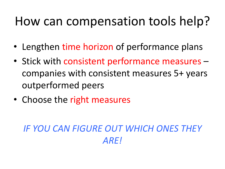## How can compensation tools help?

- Lengthen time horizon of performance plans
- Stick with consistent performance measures companies with consistent measures 5+ years outperformed peers
- Choose the right measures

#### *IF YOU CAN FIGURE OUT WHICH ONES THEY ARE!*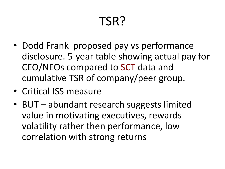# TSR?

- Dodd Frank proposed pay vs performance disclosure. 5-year table showing actual pay for CEO/NEOs compared to SCT data and cumulative TSR of company/peer group.
- Critical ISS measure
- BUT abundant research suggests limited value in motivating executives, rewards volatility rather then performance, low correlation with strong returns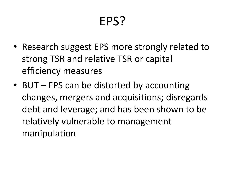## EPS?

- Research suggest EPS more strongly related to strong TSR and relative TSR or capital efficiency measures
- BUT EPS can be distorted by accounting changes, mergers and acquisitions; disregards debt and leverage; and has been shown to be relatively vulnerable to management manipulation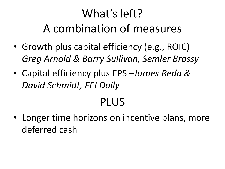### What's left? A combination of measures

- Growth plus capital efficiency (e.g., ROIC) *Greg Arnold & Barry Sullivan, Semler Brossy*
- Capital efficiency plus EPS –*James Reda & David Schmidt, FEI Daily*

### PLUS

• Longer time horizons on incentive plans, more deferred cash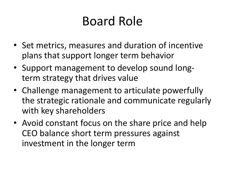## Board Role

- Set metrics, measures and duration of incentive plans that support longer term behavior
- Support management to develop sound longterm strategy that drives value
- Challenge management to articulate powerfully the strategic rationale and communicate regularly with key shareholders
- Avoid constant focus on the share price and help CEO balance short term pressures against investment in the longer term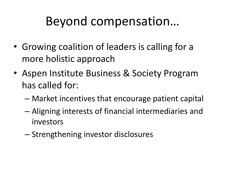### Beyond compensation…

- Growing coalition of leaders is calling for a more holistic approach
- Aspen Institute Business & Society Program has called for:
	- Market incentives that encourage patient capital
	- Aligning interests of financial intermediaries and investors
	- Strengthening investor disclosures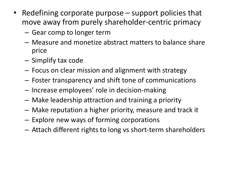- Redefining corporate purpose support policies that move away from purely shareholder-centric primacy
	- Gear comp to longer term
	- Measure and monetize abstract matters to balance share price
	- Simplify tax code
	- Focus on clear mission and alignment with strategy
	- Foster transparency and shift tone of communications
	- Increase employees' role in decision-making
	- Make leadership attraction and training a priority
	- Make reputation a higher priority, measure and track it
	- Explore new ways of forming corporations
	- Attach different rights to long vs short-term shareholders